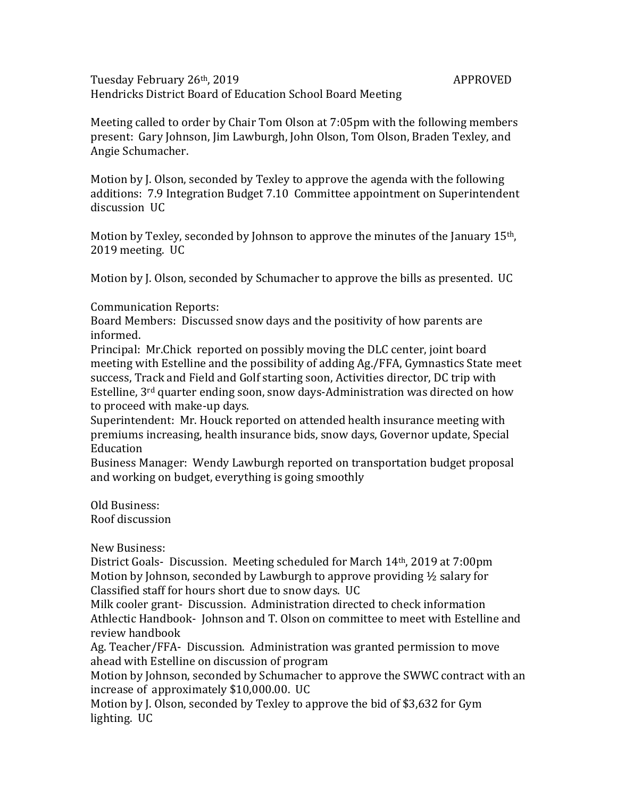Tuesday February 26<sup>th</sup>, 2019 **APPROVED** Hendricks District Board of Education School Board Meeting

Meeting called to order by Chair Tom Olson at 7:05pm with the following members present: Gary Johnson, Jim Lawburgh, John Olson, Tom Olson, Braden Texley, and Angie Schumacher.

Motion by J. Olson, seconded by Texley to approve the agenda with the following additions: 7.9 Integration Budget 7.10 Committee appointment on Superintendent discussion UC

Motion by Texley, seconded by Johnson to approve the minutes of the January 15th, 2019 meeting. UC

Motion by J. Olson, seconded by Schumacher to approve the bills as presented. UC

Communication Reports:

Board Members: Discussed snow days and the positivity of how parents are informed.

Principal: Mr.Chick reported on possibly moving the DLC center, joint board meeting with Estelline and the possibility of adding Ag./FFA, Gymnastics State meet success, Track and Field and Golf starting soon, Activities director, DC trip with Estelline, 3rd quarter ending soon, snow days-Administration was directed on how to proceed with make-up days.

Superintendent: Mr. Houck reported on attended health insurance meeting with premiums increasing, health insurance bids, snow days, Governor update, Special Education

Business Manager: Wendy Lawburgh reported on transportation budget proposal and working on budget, everything is going smoothly

Old Business: Roof discussion

New Business:

District Goals- Discussion. Meeting scheduled for March 14th, 2019 at 7:00pm Motion by Johnson, seconded by Lawburgh to approve providing ½ salary for Classified staff for hours short due to snow days. UC

Milk cooler grant- Discussion. Administration directed to check information Athlectic Handbook- Johnson and T. Olson on committee to meet with Estelline and review handbook

Ag. Teacher/FFA- Discussion. Administration was granted permission to move ahead with Estelline on discussion of program

Motion by Johnson, seconded by Schumacher to approve the SWWC contract with an increase of approximately \$10,000.00. UC

Motion by J. Olson, seconded by Texley to approve the bid of \$3,632 for Gym lighting. UC